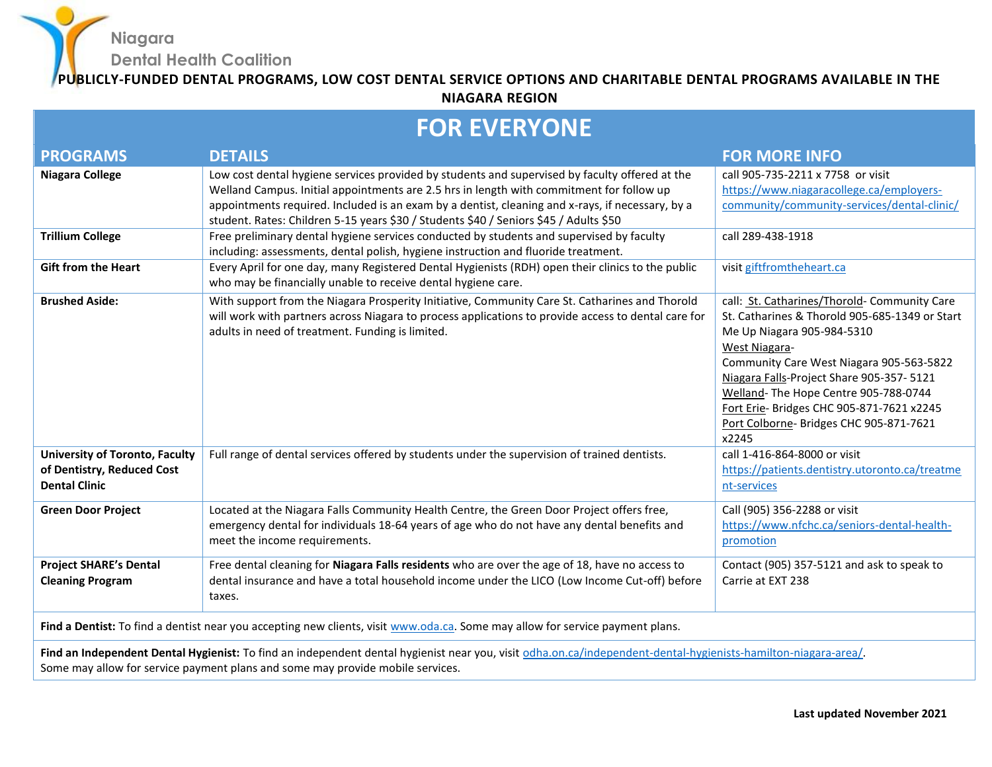**Niagara Dental Health Coalition**

**PUBLICLY-FUNDED DENTAL PROGRAMS, LOW COST DENTAL SERVICE OPTIONS AND CHARITABLE DENTAL PROGRAMS AVAILABLE IN THE NIAGARA REGION**

## **FOR EVERYONE**

| <b>PROGRAMS</b>                                                                                                                                                                                                                                  | <b>DETAILS</b>                                                                                                                                                                                                                                                                                                                                                                          | <b>FOR MORE INFO</b>                                                                                                                                                                                                                                                                                                                                                                  |  |
|--------------------------------------------------------------------------------------------------------------------------------------------------------------------------------------------------------------------------------------------------|-----------------------------------------------------------------------------------------------------------------------------------------------------------------------------------------------------------------------------------------------------------------------------------------------------------------------------------------------------------------------------------------|---------------------------------------------------------------------------------------------------------------------------------------------------------------------------------------------------------------------------------------------------------------------------------------------------------------------------------------------------------------------------------------|--|
| <b>Niagara College</b>                                                                                                                                                                                                                           | Low cost dental hygiene services provided by students and supervised by faculty offered at the<br>Welland Campus. Initial appointments are 2.5 hrs in length with commitment for follow up<br>appointments required. Included is an exam by a dentist, cleaning and x-rays, if necessary, by a<br>student. Rates: Children 5-15 years \$30 / Students \$40 / Seniors \$45 / Adults \$50 | call 905-735-2211 x 7758 or visit<br>https://www.niagaracollege.ca/employers-<br>community/community-services/dental-clinic/                                                                                                                                                                                                                                                          |  |
| <b>Trillium College</b>                                                                                                                                                                                                                          | Free preliminary dental hygiene services conducted by students and supervised by faculty<br>including: assessments, dental polish, hygiene instruction and fluoride treatment.                                                                                                                                                                                                          | call 289-438-1918                                                                                                                                                                                                                                                                                                                                                                     |  |
| <b>Gift from the Heart</b>                                                                                                                                                                                                                       | Every April for one day, many Registered Dental Hygienists (RDH) open their clinics to the public<br>who may be financially unable to receive dental hygiene care.                                                                                                                                                                                                                      | visit giftfromtheheart.ca                                                                                                                                                                                                                                                                                                                                                             |  |
| <b>Brushed Aside:</b>                                                                                                                                                                                                                            | With support from the Niagara Prosperity Initiative, Community Care St. Catharines and Thorold<br>will work with partners across Niagara to process applications to provide access to dental care for<br>adults in need of treatment. Funding is limited.                                                                                                                               | call: St. Catharines/Thorold- Community Care<br>St. Catharines & Thorold 905-685-1349 or Start<br>Me Up Niagara 905-984-5310<br><b>West Niagara-</b><br>Community Care West Niagara 905-563-5822<br>Niagara Falls-Project Share 905-357-5121<br>Welland-The Hope Centre 905-788-0744<br>Fort Erie- Bridges CHC 905-871-7621 x2245<br>Port Colborne- Bridges CHC 905-871-7621<br>x2245 |  |
| <b>University of Toronto, Faculty</b><br>of Dentistry, Reduced Cost<br><b>Dental Clinic</b>                                                                                                                                                      | Full range of dental services offered by students under the supervision of trained dentists.                                                                                                                                                                                                                                                                                            | call 1-416-864-8000 or visit<br>https://patients.dentistry.utoronto.ca/treatme<br>nt-services                                                                                                                                                                                                                                                                                         |  |
| <b>Green Door Project</b>                                                                                                                                                                                                                        | Located at the Niagara Falls Community Health Centre, the Green Door Project offers free,<br>emergency dental for individuals 18-64 years of age who do not have any dental benefits and<br>meet the income requirements.                                                                                                                                                               | Call (905) 356-2288 or visit<br>https://www.nfchc.ca/seniors-dental-health-<br>promotion                                                                                                                                                                                                                                                                                              |  |
| <b>Project SHARE's Dental</b><br><b>Cleaning Program</b>                                                                                                                                                                                         | Free dental cleaning for Niagara Falls residents who are over the age of 18, have no access to<br>dental insurance and have a total household income under the LICO (Low Income Cut-off) before<br>taxes.                                                                                                                                                                               | Contact (905) 357-5121 and ask to speak to<br>Carrie at EXT 238                                                                                                                                                                                                                                                                                                                       |  |
| Find a Dentist: To find a dentist near you accepting new clients, visit www.oda.ca. Some may allow for service payment plans.                                                                                                                    |                                                                                                                                                                                                                                                                                                                                                                                         |                                                                                                                                                                                                                                                                                                                                                                                       |  |
| Find an Independent Dental Hygienist: To find an independent dental hygienist near you, visit odha.on.ca/independent-dental-hygienists-hamilton-niagara-area/.<br>Some may allow for service payment plans and some may provide mobile services. |                                                                                                                                                                                                                                                                                                                                                                                         |                                                                                                                                                                                                                                                                                                                                                                                       |  |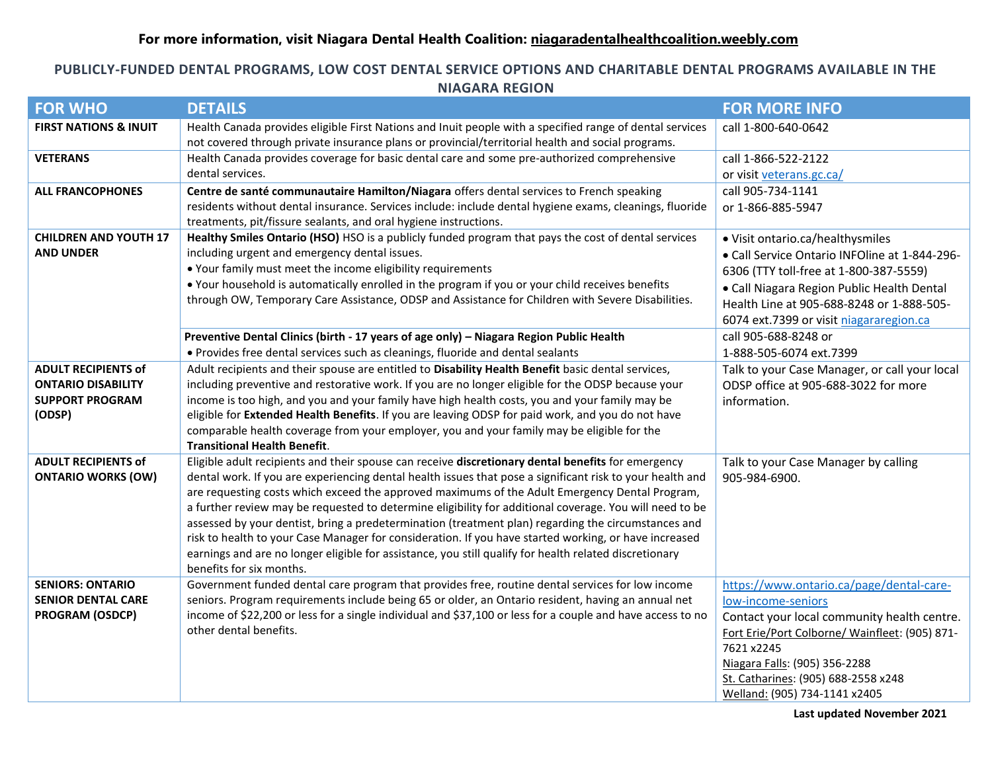## **PUBLICLY-FUNDED DENTAL PROGRAMS, LOW COST DENTAL SERVICE OPTIONS AND CHARITABLE DENTAL PROGRAMS AVAILABLE IN THE NIAGARA REGION**

| <b>FOR WHO</b>                   | <b>DETAILS</b>                                                                                                                                                                                                | <b>FOR MORE INFO</b>                           |
|----------------------------------|---------------------------------------------------------------------------------------------------------------------------------------------------------------------------------------------------------------|------------------------------------------------|
| <b>FIRST NATIONS &amp; INUIT</b> | Health Canada provides eligible First Nations and Inuit people with a specified range of dental services<br>not covered through private insurance plans or provincial/territorial health and social programs. | call 1-800-640-0642                            |
| <b>VETERANS</b>                  | Health Canada provides coverage for basic dental care and some pre-authorized comprehensive                                                                                                                   | call 1-866-522-2122                            |
|                                  | dental services.                                                                                                                                                                                              | or visit veterans.gc.ca/                       |
| <b>ALL FRANCOPHONES</b>          | Centre de santé communautaire Hamilton/Niagara offers dental services to French speaking<br>residents without dental insurance. Services include: include dental hygiene exams, cleanings, fluoride           | call 905-734-1141                              |
|                                  | treatments, pit/fissure sealants, and oral hygiene instructions.                                                                                                                                              | or 1-866-885-5947                              |
| <b>CHILDREN AND YOUTH 17</b>     | Healthy Smiles Ontario (HSO) HSO is a publicly funded program that pays the cost of dental services                                                                                                           | • Visit ontario.ca/healthysmiles               |
| <b>AND UNDER</b>                 | including urgent and emergency dental issues.                                                                                                                                                                 | • Call Service Ontario INFOline at 1-844-296-  |
|                                  | • Your family must meet the income eligibility requirements                                                                                                                                                   | 6306 (TTY toll-free at 1-800-387-5559)         |
|                                  | . Your household is automatically enrolled in the program if you or your child receives benefits                                                                                                              | · Call Niagara Region Public Health Dental     |
|                                  | through OW, Temporary Care Assistance, ODSP and Assistance for Children with Severe Disabilities.                                                                                                             | Health Line at 905-688-8248 or 1-888-505-      |
|                                  |                                                                                                                                                                                                               | 6074 ext.7399 or visit niagararegion.ca        |
|                                  | Preventive Dental Clinics (birth - 17 years of age only) - Niagara Region Public Health                                                                                                                       | call 905-688-8248 or                           |
|                                  | • Provides free dental services such as cleanings, fluoride and dental sealants                                                                                                                               | 1-888-505-6074 ext.7399                        |
| <b>ADULT RECIPIENTS of</b>       | Adult recipients and their spouse are entitled to Disability Health Benefit basic dental services,                                                                                                            | Talk to your Case Manager, or call your local  |
| <b>ONTARIO DISABILITY</b>        | including preventive and restorative work. If you are no longer eligible for the ODSP because your                                                                                                            | ODSP office at 905-688-3022 for more           |
| <b>SUPPORT PROGRAM</b>           | income is too high, and you and your family have high health costs, you and your family may be                                                                                                                | information.                                   |
| (ODSP)                           | eligible for Extended Health Benefits. If you are leaving ODSP for paid work, and you do not have<br>comparable health coverage from your employer, you and your family may be eligible for the               |                                                |
|                                  | <b>Transitional Health Benefit.</b>                                                                                                                                                                           |                                                |
| <b>ADULT RECIPIENTS of</b>       | Eligible adult recipients and their spouse can receive discretionary dental benefits for emergency                                                                                                            | Talk to your Case Manager by calling           |
| <b>ONTARIO WORKS (OW)</b>        | dental work. If you are experiencing dental health issues that pose a significant risk to your health and                                                                                                     | 905-984-6900.                                  |
|                                  | are requesting costs which exceed the approved maximums of the Adult Emergency Dental Program,                                                                                                                |                                                |
|                                  | a further review may be requested to determine eligibility for additional coverage. You will need to be                                                                                                       |                                                |
|                                  | assessed by your dentist, bring a predetermination (treatment plan) regarding the circumstances and                                                                                                           |                                                |
|                                  | risk to health to your Case Manager for consideration. If you have started working, or have increased                                                                                                         |                                                |
|                                  | earnings and are no longer eligible for assistance, you still qualify for health related discretionary                                                                                                        |                                                |
| <b>SENIORS: ONTARIO</b>          | benefits for six months.<br>Government funded dental care program that provides free, routine dental services for low income                                                                                  | https://www.ontario.ca/page/dental-care-       |
| <b>SENIOR DENTAL CARE</b>        | seniors. Program requirements include being 65 or older, an Ontario resident, having an annual net                                                                                                            | low-income-seniors                             |
| <b>PROGRAM (OSDCP)</b>           | income of \$22,200 or less for a single individual and \$37,100 or less for a couple and have access to no                                                                                                    | Contact your local community health centre.    |
|                                  | other dental benefits.                                                                                                                                                                                        | Fort Erie/Port Colborne/ Wainfleet: (905) 871- |
|                                  |                                                                                                                                                                                                               | 7621 x2245                                     |
|                                  |                                                                                                                                                                                                               | Niagara Falls: (905) 356-2288                  |
|                                  |                                                                                                                                                                                                               | St. Catharines: (905) 688-2558 x248            |
|                                  |                                                                                                                                                                                                               | Welland: (905) 734-1141 x2405                  |

**Last updated November 2021**